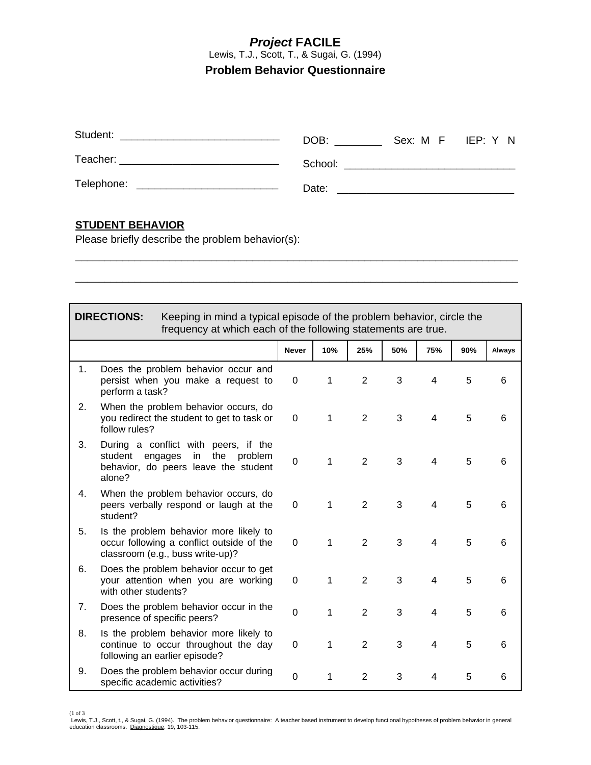### *Project* **FACILE** Lewis, T.J., Scott, T., & Sugai, G. (1994) **Problem Behavior Questionnaire**

| Student:<br><u> 1989 - John Barnett, fransk konger (d. 1989)</u> | Sex: M F IEP: Y N<br>DOB:                                                                                                                                                                                                      |
|------------------------------------------------------------------|--------------------------------------------------------------------------------------------------------------------------------------------------------------------------------------------------------------------------------|
| Teacher: ___________________________________                     | School: Analysis and the contract of the contract of the contract of the contract of the contract of the contract of the contract of the contract of the contract of the contract of the contract of the contract of the contr |
|                                                                  | Date:                                                                                                                                                                                                                          |

\_\_\_\_\_\_\_\_\_\_\_\_\_\_\_\_\_\_\_\_\_\_\_\_\_\_\_\_\_\_\_\_\_\_\_\_\_\_\_\_\_\_\_\_\_\_\_\_\_\_\_\_\_\_\_\_\_\_\_\_\_\_\_\_\_\_\_\_\_\_\_\_\_\_\_

\_\_\_\_\_\_\_\_\_\_\_\_\_\_\_\_\_\_\_\_\_\_\_\_\_\_\_\_\_\_\_\_\_\_\_\_\_\_\_\_\_\_\_\_\_\_\_\_\_\_\_\_\_\_\_\_\_\_\_\_\_\_\_\_\_\_\_\_\_\_\_\_\_\_\_

#### **STUDENT BEHAVIOR**

Please briefly describe the problem behavior(s):

#### **DIRECTIONS:** Keeping in mind a typical episode of the problem behavior, circle the frequency at which each of the following statements are true. **Never 10% 25% 50% 75% 90% Always**  1. Does the problem behavior occur and persist when you make a request to perform a task? 0 1 2 3 4 5 6 2. When the problem behavior occurs, do you redirect the student to get to task or follow rules? 0 1 2 3 4 5 6 3. During a conflict with peers, if the student engages in the problem behavior, do peers leave the student alone? 0 1 2 3 4 5 6 4. When the problem behavior occurs, do peers verbally respond or laugh at the student? 0 1 2 3 4 5 6 5. Is the problem behavior more likely to occur following a conflict outside of the classroom (e.g., buss write-up)? 0 1 2 3 4 5 6 6. Does the problem behavior occur to get your attention when you are working with other students? 0 1 2 3 4 5 6 7. Does the problem behavior occur in the presence of specific peers?<br>
presence of specific peers? 8. Is the problem behavior more likely to continue to occur throughout the day following an earlier episode? 0 1 2 3 4 5 6 9. Does the problem behavior occur during Does the problem behavior occur during<br>specific academic activities?<br>Does the problem behavior occur during<br> $0$  1 2 3 4 5 6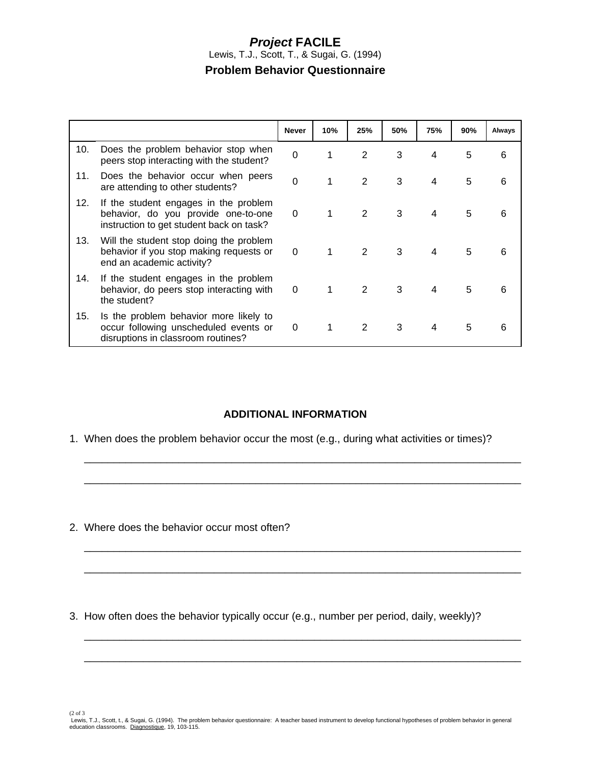## *Project* **FACILE** Lewis, T.J., Scott, T., & Sugai, G. (1994) **Problem Behavior Questionnaire**

|     |                                                                                                                          | <b>Never</b>   | 10% | 25% | 50% | 75% | 90% | Always |
|-----|--------------------------------------------------------------------------------------------------------------------------|----------------|-----|-----|-----|-----|-----|--------|
| 10. | Does the problem behavior stop when<br>peers stop interacting with the student?                                          | $\overline{0}$ |     | 2   | 3   | 4   | 5   | 6      |
| 11. | Does the behavior occur when peers<br>are attending to other students?                                                   | $\Omega$       |     | 2   | 3   | 4   | 5   | 6      |
| 12. | If the student engages in the problem<br>behavior, do you provide one-to-one<br>instruction to get student back on task? | 0              |     | 2   | 3   | 4   | 5   | 6      |
| 13. | Will the student stop doing the problem<br>behavior if you stop making requests or<br>end an academic activity?          | 0              |     | 2   | 3   | 4   | 5   | 6      |
| 14. | If the student engages in the problem<br>behavior, do peers stop interacting with<br>the student?                        | $\Omega$       | 1   | 2   | 3   | 4   | 5   | 6      |
| 15. | Is the problem behavior more likely to<br>occur following unscheduled events or<br>disruptions in classroom routines?    | $\Omega$       | 1   | 2   | 3   | 4   | 5   | 6      |

## **ADDITIONAL INFORMATION**

 $\overline{\phantom{a}}$  , and the contribution of the contribution of the contribution of the contribution of the contribution of the contribution of the contribution of the contribution of the contribution of the contribution of the

 $\overline{\phantom{a}}$  , and the contribution of the contribution of the contribution of the contribution of the contribution of the contribution of the contribution of the contribution of the contribution of the contribution of the

 $\overline{\phantom{a}}$  , and the contribution of the contribution of the contribution of the contribution of the contribution of the contribution of the contribution of the contribution of the contribution of the contribution of the

 $\overline{\phantom{a}}$  , and the contribution of the contribution of the contribution of the contribution of the contribution of the contribution of the contribution of the contribution of the contribution of the contribution of the

 $\overline{\phantom{a}}$  , and the contribution of the contribution of the contribution of the contribution of the contribution of the contribution of the contribution of the contribution of the contribution of the contribution of the

 $\overline{\phantom{a}}$  , and the contribution of the contribution of the contribution of the contribution of the contribution of the contribution of the contribution of the contribution of the contribution of the contribution of the

1. When does the problem behavior occur the most (e.g., during what activities or times)?

2. Where does the behavior occur most often?

3. How often does the behavior typically occur (e.g., number per period, daily, weekly)?